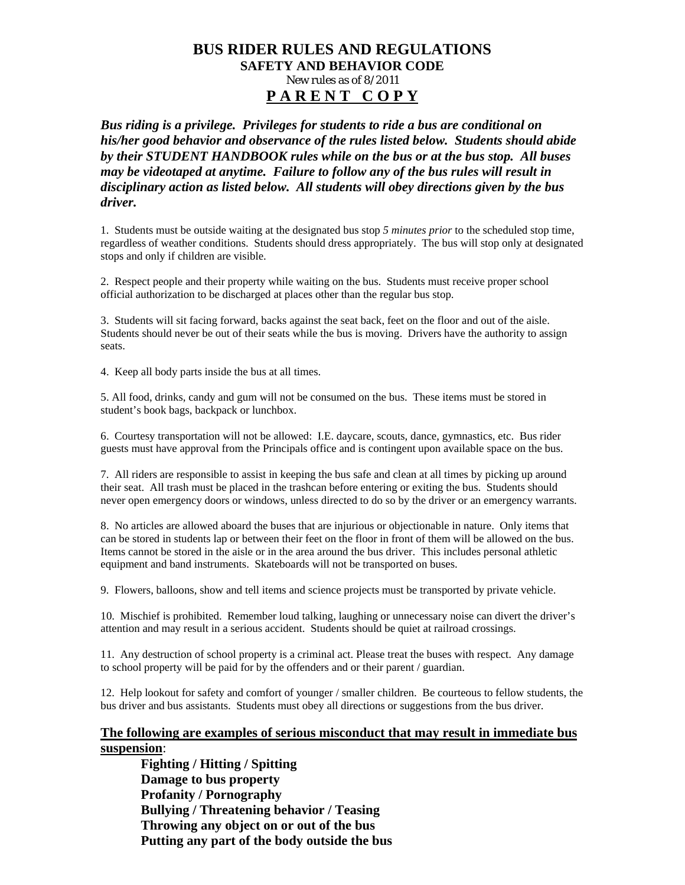#### **BUS RIDER RULES AND REGULATIONS SAFETY AND BEHAVIOR CODE**  New rules as of 8/2011 **P A R E N T C O P Y**

*Bus riding is a privilege. Privileges for students to ride a bus are conditional on his/her good behavior and observance of the rules listed below. Students should abide by their STUDENT HANDBOOK rules while on the bus or at the bus stop. All buses may be videotaped at anytime. Failure to follow any of the bus rules will result in disciplinary action as listed below. All students will obey directions given by the bus driver.* 

1. Students must be outside waiting at the designated bus stop *5 minutes prior* to the scheduled stop time, regardless of weather conditions. Students should dress appropriately. The bus will stop only at designated stops and only if children are visible.

2. Respect people and their property while waiting on the bus. Students must receive proper school official authorization to be discharged at places other than the regular bus stop.

3. Students will sit facing forward, backs against the seat back, feet on the floor and out of the aisle. Students should never be out of their seats while the bus is moving. Drivers have the authority to assign seats.

4. Keep all body parts inside the bus at all times.

5. All food, drinks, candy and gum will not be consumed on the bus. These items must be stored in student's book bags, backpack or lunchbox.

6. Courtesy transportation will not be allowed: I.E. daycare, scouts, dance, gymnastics, etc. Bus rider guests must have approval from the Principals office and is contingent upon available space on the bus.

7. All riders are responsible to assist in keeping the bus safe and clean at all times by picking up around their seat. All trash must be placed in the trashcan before entering or exiting the bus. Students should never open emergency doors or windows, unless directed to do so by the driver or an emergency warrants.

8. No articles are allowed aboard the buses that are injurious or objectionable in nature. Only items that can be stored in students lap or between their feet on the floor in front of them will be allowed on the bus. Items cannot be stored in the aisle or in the area around the bus driver. This includes personal athletic equipment and band instruments. Skateboards will not be transported on buses.

9. Flowers, balloons, show and tell items and science projects must be transported by private vehicle.

10. Mischief is prohibited. Remember loud talking, laughing or unnecessary noise can divert the driver's attention and may result in a serious accident. Students should be quiet at railroad crossings.

11. Any destruction of school property is a criminal act. Please treat the buses with respect. Any damage to school property will be paid for by the offenders and or their parent / guardian.

12. Help lookout for safety and comfort of younger / smaller children. Be courteous to fellow students, the bus driver and bus assistants. Students must obey all directions or suggestions from the bus driver.

#### **The following are examples of serious misconduct that may result in immediate bus suspension**:

**Fighting / Hitting / Spitting Damage to bus property Profanity / Pornography Bullying / Threatening behavior / Teasing Throwing any object on or out of the bus Putting any part of the body outside the bus**